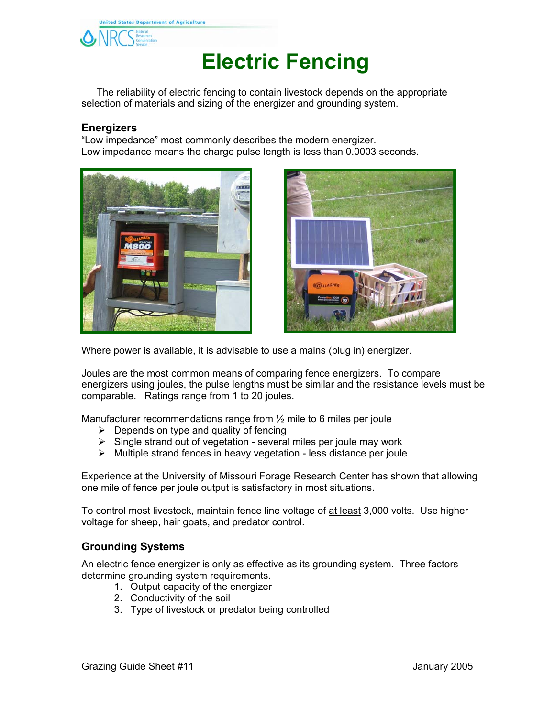

## **Electric Fencing**

 The reliability of electric fencing to contain livestock depends on the appropriate selection of materials and sizing of the energizer and grounding system.

## **Energizers**

"Low impedance" most commonly describes the modern energizer. Low impedance means the charge pulse length is less than 0.0003 seconds.





Where power is available, it is advisable to use a mains (plug in) energizer.

Joules are the most common means of comparing fence energizers. To compare energizers using joules, the pulse lengths must be similar and the resistance levels must be comparable. Ratings range from 1 to 20 joules.

Manufacturer recommendations range from ½ mile to 6 miles per joule

- $\triangleright$  Depends on type and quality of fencing
- $\triangleright$  Single strand out of vegetation several miles per joule may work
- $\triangleright$  Multiple strand fences in heavy vegetation less distance per joule

Experience at the University of Missouri Forage Research Center has shown that allowing one mile of fence per joule output is satisfactory in most situations.

To control most livestock, maintain fence line voltage of at least 3,000 volts. Use higher voltage for sheep, hair goats, and predator control.

## **Grounding Systems**

An electric fence energizer is only as effective as its grounding system. Three factors determine grounding system requirements.

- 1. Output capacity of the energizer
- 2. Conductivity of the soil
- 3. Type of livestock or predator being controlled